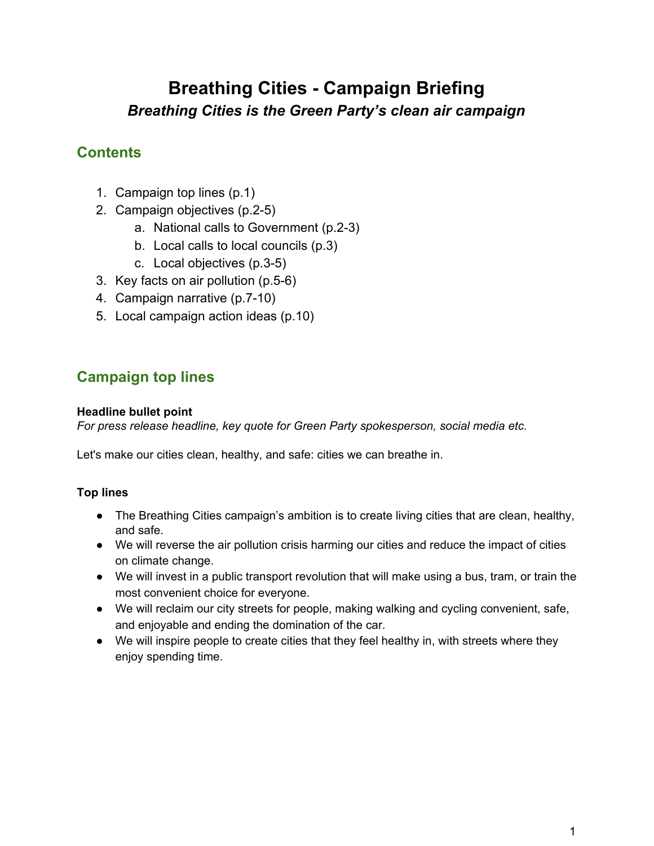# **Breathing Cities - Campaign Briefing** *Breathing Cities is the Green Party's clean air campaign*

### **Contents**

- 1. Campaign top lines (p.1)
- 2. Campaign objectives (p.2-5)
	- a. National calls to Government (p.2-3)
	- b. Local calls to local councils (p.3)
	- c. Local objectives (p.3-5)
- 3. Key facts on air pollution (p.5-6)
- 4. Campaign narrative (p.7-10)
- 5. Local campaign action ideas (p.10)

# **Campaign top lines**

### **Headline bullet point**

*For press release headline, key quote for Green Party spokesperson, social media etc.*

Let's make our cities clean, healthy, and safe: cities we can breathe in.

### **Top lines**

- The Breathing Cities campaign's ambition is to create living cities that are clean, healthy, and safe.
- We will reverse the air pollution crisis harming our cities and reduce the impact of cities on climate change.
- We will invest in a public transport revolution that will make using a bus, tram, or train the most convenient choice for everyone.
- We will reclaim our city streets for people, making walking and cycling convenient, safe, and enjoyable and ending the domination of the car.
- We will inspire people to create cities that they feel healthy in, with streets where they enjoy spending time.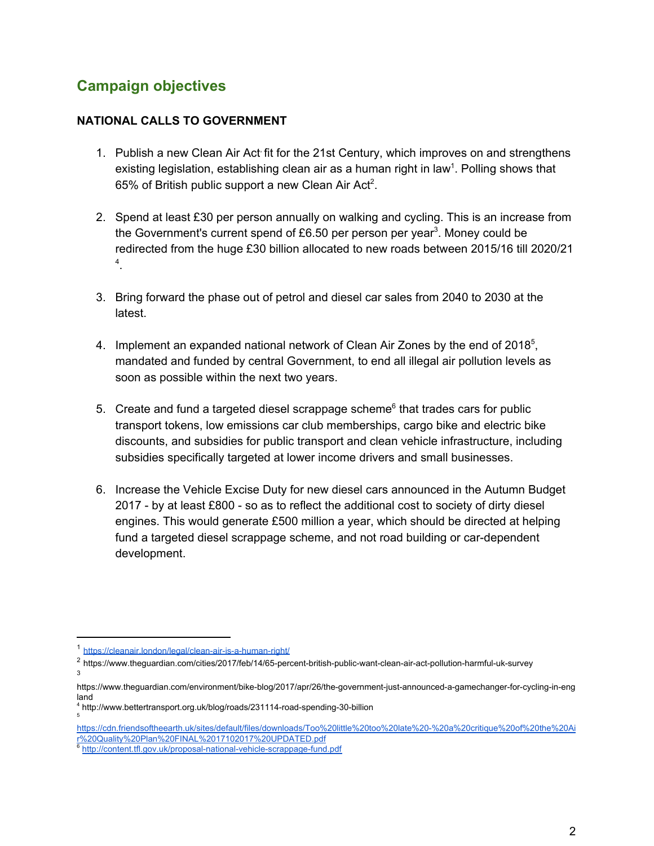### **Campaign objectives**

#### **NATIONAL CALLS TO GOVERNMENT**

- 1. Publish a new Clean Air Act fit for the 21st Century, which improves on and strengthens existing legislation, establishing clean air as a human right in law<sup>1</sup>. Polling shows that 65% of British public support a new Clean Air Act<sup>2</sup>.
- 2. Spend at least £30 per person annually on walking and cycling. This is an increase from the Government's current spend of £6.50 per person per year<sup>3</sup>. Money could be redirected from the huge £30 billion allocated to new roads between 2015/16 till 2020/21 . 4
- 3. Bring forward the phase out of petrol and diesel car sales from 2040 to 2030 at the latest.
- 4. Implement an expanded national network of Clean Air Zones by the end of 2018 $5$ , mandated and funded by central Government, to end all illegal air pollution levels as soon as possible within the next two years.
- 5. Create and fund a targeted diesel scrappage scheme $<sup>6</sup>$  that trades cars for public</sup> transport tokens, low emissions car club memberships, cargo bike and electric bike discounts, and subsidies for public transport and clean vehicle infrastructure, including subsidies specifically targeted at lower income drivers and small businesses.
- 6. Increase the Vehicle Excise Duty for new diesel cars announced in the Autumn Budget 2017 - by at least £800 - so as to reflect the additional cost to society of dirty diesel engines. This would generate £500 million a year, which should be directed at helping fund a targeted diesel scrappage scheme, and not road building or car-dependent development.

<sup>1</sup> <https://cleanair.london/legal/clean-air-is-a-human-right/>

<sup>2</sup> https://www.theguardian.com/cities/2017/feb/14/65-percent-british-public-want-clean-air-act-pollution-harmful-uk-survey 3

https://www.theguardian.com/environment/bike-blog/2017/apr/26/the-government-just-announced-a-gamechanger-for-cycling-in-eng land

<sup>4</sup> http://www.bettertransport.org.uk/blog/roads/231114-road-spending-30-billion 5

[https://cdn.friendsoftheearth.uk/sites/default/files/downloads/Too%20little%20too%20late%20-%20a%20critique%20of%20the%20Ai](https://cdn.friendsoftheearth.uk/sites/default/files/downloads/Too%20little%20too%20late%20-%20a%20critique%20of%20the%20Air%20Quality%20Plan%20FINAL%2017102017%20UPDATED.pdf) [r%20Quality%20Plan%20FINAL%2017102017%20UPDATED.pdf](https://cdn.friendsoftheearth.uk/sites/default/files/downloads/Too%20little%20too%20late%20-%20a%20critique%20of%20the%20Air%20Quality%20Plan%20FINAL%2017102017%20UPDATED.pdf)

<sup>&</sup>lt;sup>6</sup> <http://content.tfl.gov.uk/proposal-national-vehicle-scrappage-fund.pdf>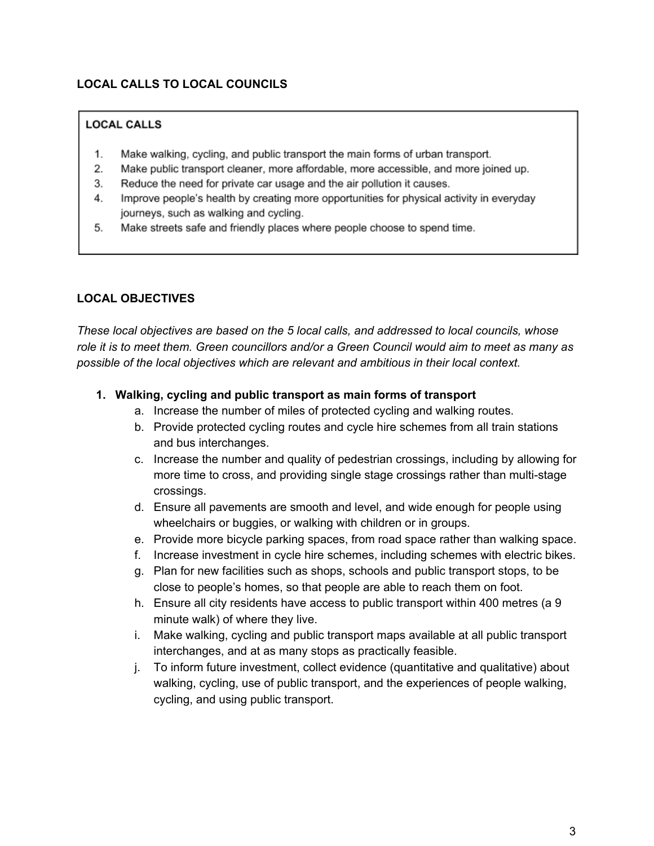#### **LOCAL CALLS TO LOCAL COUNCILS**

#### **LOCAL CALLS**

- Make walking, cycling, and public transport the main forms of urban transport. 1.
- 2. Make public transport cleaner, more affordable, more accessible, and more joined up.
- 3. Reduce the need for private car usage and the air pollution it causes.
- Improve people's health by creating more opportunities for physical activity in everyday 4. journeys, such as walking and cycling.
- 5. Make streets safe and friendly places where people choose to spend time.

#### **LOCAL OBJECTIVES**

*These local objectives are based on the 5 local calls, and addressed to local councils, whose* role it is to meet them. Green councillors and/or a Green Council would aim to meet as many as *possible of the local objectives which are relevant and ambitious in their local context.*

#### **1. Walking, cycling and public transport as main forms of transport**

- a. Increase the number of miles of protected cycling and walking routes.
- b. Provide protected cycling routes and cycle hire schemes from all train stations and bus interchanges.
- c. Increase the number and quality of pedestrian crossings, including by allowing for more time to cross, and providing single stage crossings rather than multi-stage crossings.
- d. Ensure all pavements are smooth and level, and wide enough for people using wheelchairs or buggies, or walking with children or in groups.
- e. Provide more bicycle parking spaces, from road space rather than walking space.
- f. Increase investment in cycle hire schemes, including schemes with electric bikes.
- g. Plan for new facilities such as shops, schools and public transport stops, to be close to people's homes, so that people are able to reach them on foot.
- h. Ensure all city residents have access to public transport within 400 metres (a 9 minute walk) of where they live.
- i. Make walking, cycling and public transport maps available at all public transport interchanges, and at as many stops as practically feasible.
- j. To inform future investment, collect evidence (quantitative and qualitative) about walking, cycling, use of public transport, and the experiences of people walking, cycling, and using public transport.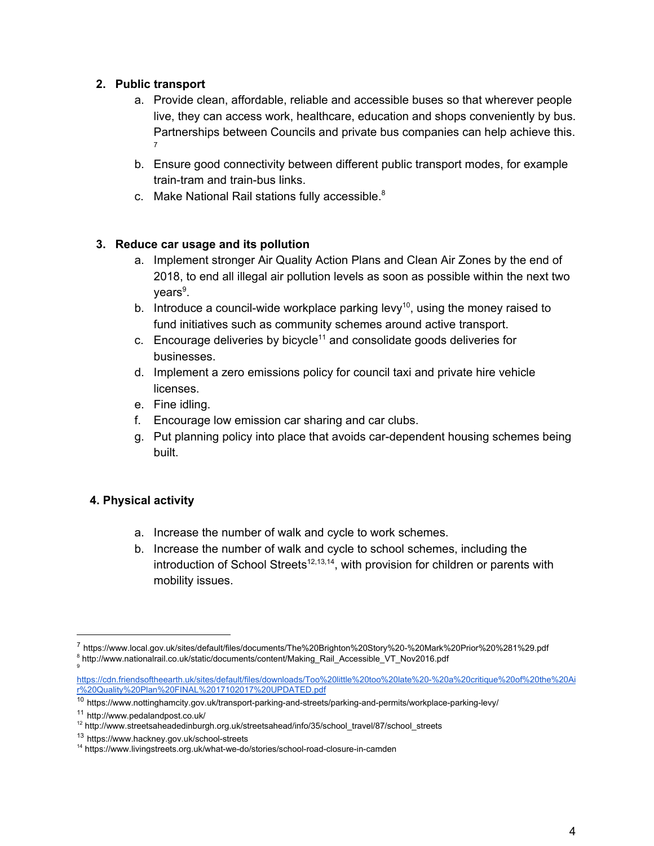#### **2. Public transport**

- a. Provide clean, affordable, reliable and accessible buses so that wherever people live, they can access work, healthcare, education and shops conveniently by bus. Partnerships between Councils and private bus companies can help achieve this. 7
- b. Ensure good connectivity between different public transport modes, for example train-tram and train-bus links.
- c. Make National Rail stations fully accessible. $8$

#### **3. Reduce car usage and its pollution**

- a. Implement stronger Air Quality Action Plans and Clean Air Zones by the end of 2018, to end all illegal air pollution levels as soon as possible within the next two years<sup>9</sup>.
- b. Introduce a council-wide workplace parking levy<sup>10</sup>, using the money raised to fund initiatives such as community schemes around active transport.
- c. Encourage deliveries by bicycle<sup>11</sup> and consolidate goods deliveries for businesses.
- d. Implement a zero emissions policy for council taxi and private hire vehicle licenses.
- e. Fine idling.
- f. Encourage low emission car sharing and car clubs.
- g. Put planning policy into place that avoids car-dependent housing schemes being built.

#### **4. Physical activity**

- a. Increase the number of walk and cycle to work schemes.
- b. Increase the number of walk and cycle to school schemes, including the introduction of School Streets<sup>12,13,14</sup>, with provision for children or parents with mobility issues.

<sup>7</sup> https://www.local.gov.uk/sites/default/files/documents/The%20Brighton%20Story%20-%20Mark%20Prior%20%281%29.pdf <sup>8</sup> http://www.nationalrail.co.uk/static/documents/content/Making\_Rail\_Accessible\_VT\_Nov2016.pdf

<sup>9</sup>

[https://cdn.friendsoftheearth.uk/sites/default/files/downloads/Too%20little%20too%20late%20-%20a%20critique%20of%20the%20Ai](https://cdn.friendsoftheearth.uk/sites/default/files/downloads/Too%20little%20too%20late%20-%20a%20critique%20of%20the%20Air%20Quality%20Plan%20FINAL%2017102017%20UPDATED.pdf) [r%20Quality%20Plan%20FINAL%2017102017%20UPDATED.pdf](https://cdn.friendsoftheearth.uk/sites/default/files/downloads/Too%20little%20too%20late%20-%20a%20critique%20of%20the%20Air%20Quality%20Plan%20FINAL%2017102017%20UPDATED.pdf)

<sup>10</sup> https://www.nottinghamcity.gov.uk/transport-parking-and-streets/parking-and-permits/workplace-parking-levy/

<sup>11</sup> http://www.pedalandpost.co.uk/

<sup>12</sup> http://www.streetsaheadedinburgh.org.uk/streetsahead/info/35/school\_travel/87/school\_streets

<sup>13</sup> https://www.hackney.gov.uk/school-streets

<sup>14</sup> https://www.livingstreets.org.uk/what-we-do/stories/school-road-closure-in-camden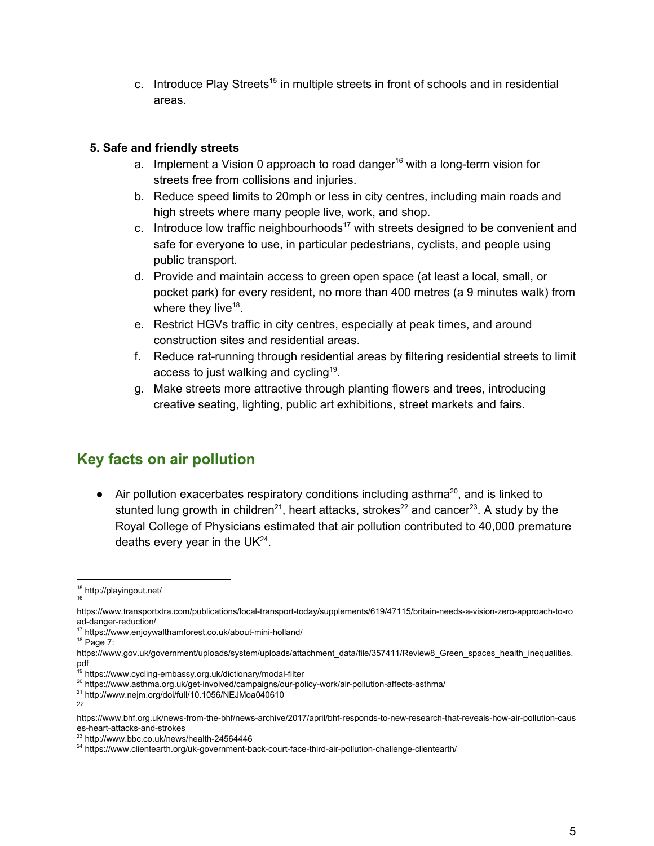c. Introduce Play Streets<sup>15</sup> in multiple streets in front of schools and in residential areas.

#### **5. Safe and friendly streets**

- a. Implement a Vision 0 approach to road danger<sup>16</sup> with a long-term vision for streets free from collisions and injuries.
- b. Reduce speed limits to 20mph or less in city centres, including main roads and high streets where many people live, work, and shop.
- c. Introduce low traffic neighbourhoods<sup>17</sup> with streets designed to be convenient and safe for everyone to use, in particular pedestrians, cyclists, and people using public transport.
- d. Provide and maintain access to green open space (at least a local, small, or pocket park) for every resident, no more than 400 metres (a 9 minutes walk) from where they live $^{18}$ .
- e. Restrict HGVs traffic in city centres, especially at peak times, and around construction sites and residential areas.
- f. Reduce rat-running through residential areas by filtering residential streets to limit access to just walking and cycling<sup>19</sup>.
- g. Make streets more attractive through planting flowers and trees, introducing creative seating, lighting, public art exhibitions, street markets and fairs.

# **Key facts on air pollution**

 $\bullet$  Air pollution exacerbates respiratory conditions including asthma<sup>20</sup>, and is linked to stunted lung growth in children<sup>21</sup>, heart attacks, strokes<sup>22</sup> and cancer<sup>23</sup>. A study by the Royal College of Physicians estimated that air pollution contributed to 40,000 premature deaths every year in the UK $^{24}$ .

<sup>15</sup> http://playingout.net/ 16

https://www.transportxtra.com/publications/local-transport-today/supplements/619/47115/britain-needs-a-vision-zero-approach-to-ro ad-danger-reduction/

<sup>17</sup> https://www.enjoywalthamforest.co.uk/about-mini-holland/

<sup>18</sup> Page 7:

https://www.gov.uk/government/uploads/system/uploads/attachment\_data/file/357411/Review8\_Green\_spaces\_health\_inequalities. pdf

<sup>&</sup>lt;sup>19</sup> https://www.cycling-embassy.org.uk/dictionary/modal-filter

<sup>&</sup>lt;sup>20</sup> https://www.asthma.org.uk/get-involved/campaigns/our-policy-work/air-pollution-affects-asthma/

<sup>21</sup> http://www.nejm.org/doi/full/10.1056/NEJMoa040610

<sup>22</sup>

https://www.bhf.org.uk/news-from-the-bhf/news-archive/2017/april/bhf-responds-to-new-research-that-reveals-how-air-pollution-caus es-heart-attacks-and-strokes

<sup>23</sup> http://www.bbc.co.uk/news/health-24564446

<sup>&</sup>lt;sup>24</sup> https://www.clientearth.org/uk-government-back-court-face-third-air-pollution-challenge-clientearth/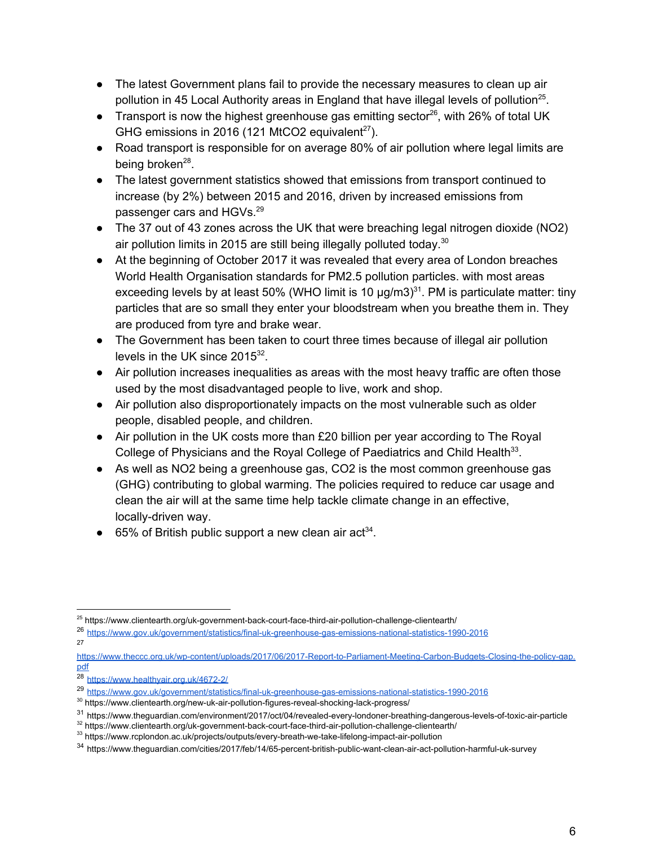- The latest Government plans fail to provide the necessary measures to clean up air pollution in 45 Local Authority areas in England that have illegal levels of pollution<sup>25</sup>.
- Transport is now the highest greenhouse gas emitting sector<sup>26</sup>, with 26% of total UK GHG emissions in 2016 (121 MtCO2 equivalent $27$ ).
- Road transport is responsible for on average 80% of air pollution where legal limits are being broken<sup>28</sup>.
- The latest government statistics showed that emissions from transport continued to increase (by 2%) between 2015 and 2016, driven by increased emissions from passenger cars and HGVs.<sup>29</sup>
- The 37 out of 43 zones across the UK that were breaching legal nitrogen dioxide (NO2) air pollution limits in 2015 are still being illegally polluted today. $30$
- At the beginning of October 2017 it was revealed that every area of London breaches World Health Organisation standards for PM2.5 pollution particles. with most areas exceeding levels by at least 50% (WHO limit is 10  $\mu$ g/m3)<sup>31</sup>. PM is particulate matter: tiny particles that are so small they enter your bloodstream when you breathe them in. They are produced from tyre and brake wear.
- The Government has been taken to court three times because of illegal air pollution levels in the UK since  $2015^{32}$ .
- Air pollution increases inequalities as areas with the most heavy traffic are often those used by the most disadvantaged people to live, work and shop.
- Air pollution also disproportionately impacts on the most vulnerable such as older people, disabled people, and children.
- Air pollution in the UK costs more than £20 billion per year according to The Royal College of Physicians and the Royal College of Paediatrics and Child Health<sup>33</sup>.
- As well as NO2 being a greenhouse gas, CO2 is the most common greenhouse gas (GHG) contributing to global warming. The policies required to reduce car usage and clean the air will at the same time help tackle climate change in an effective, locally-driven way.
- 65% of British public support a new clean air act<sup>34</sup>.

<sup>26</sup> <https://www.gov.uk/government/statistics/final-uk-greenhouse-gas-emissions-national-statistics-1990-2016> 27

[https://www.theccc.org.uk/wp-content/uploads/2017/06/2017-Report-to-Parliament-Meeting-Carbon-Budgets-Closing-the-policy-gap.](https://www.theccc.org.uk/wp-content/uploads/2017/06/2017-Report-to-Parliament-Meeting-Carbon-Budgets-Closing-the-policy-gap.pdf) [pdf](https://www.theccc.org.uk/wp-content/uploads/2017/06/2017-Report-to-Parliament-Meeting-Carbon-Budgets-Closing-the-policy-gap.pdf)

32 https://www.clientearth.org/uk-government-back-court-face-third-air-pollution-challenge-clientearth/

<sup>25</sup> https://www.clientearth.org/uk-government-back-court-face-third-air-pollution-challenge-clientearth/

<sup>28</sup> <https://www.healthyair.org.uk/4672-2/>

<sup>29</sup> <https://www.gov.uk/government/statistics/final-uk-greenhouse-gas-emissions-national-statistics-1990-2016>

<sup>30</sup> https://www.clientearth.org/new-uk-air-pollution-figures-reveal-shocking-lack-progress/

<sup>31</sup> https://www.theguardian.com/environment/2017/oct/04/revealed-every-londoner-breathing-dangerous-levels-of-toxic-air-particle

<sup>33</sup> https://www.rcplondon.ac.uk/projects/outputs/every-breath-we-take-lifelong-impact-air-pollution

<sup>34</sup> https://www.theguardian.com/cities/2017/feb/14/65-percent-british-public-want-clean-air-act-pollution-harmful-uk-survey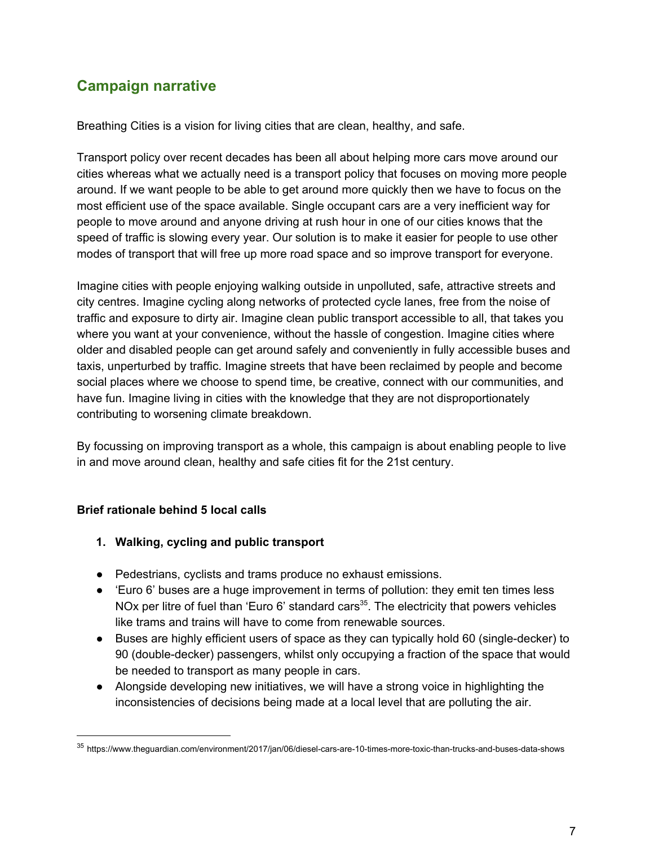### **Campaign narrative**

Breathing Cities is a vision for living cities that are clean, healthy, and safe.

Transport policy over recent decades has been all about helping more cars move around our cities whereas what we actually need is a transport policy that focuses on moving more people around. If we want people to be able to get around more quickly then we have to focus on the most efficient use of the space available. Single occupant cars are a very inefficient way for people to move around and anyone driving at rush hour in one of our cities knows that the speed of traffic is slowing every year. Our solution is to make it easier for people to use other modes of transport that will free up more road space and so improve transport for everyone.

Imagine cities with people enjoying walking outside in unpolluted, safe, attractive streets and city centres. Imagine cycling along networks of protected cycle lanes, free from the noise of traffic and exposure to dirty air. Imagine clean public transport accessible to all, that takes you where you want at your convenience, without the hassle of congestion. Imagine cities where older and disabled people can get around safely and conveniently in fully accessible buses and taxis, unperturbed by traffic. Imagine streets that have been reclaimed by people and become social places where we choose to spend time, be creative, connect with our communities, and have fun. Imagine living in cities with the knowledge that they are not disproportionately contributing to worsening climate breakdown.

By focussing on improving transport as a whole, this campaign is about enabling people to live in and move around clean, healthy and safe cities fit for the 21st century.

#### **Brief rationale behind 5 local calls**

- **1. Walking, cycling and public transport**
- Pedestrians, cyclists and trams produce no exhaust emissions.
- 'Euro 6' buses are a huge improvement in terms of pollution: they emit ten times less NOx per litre of fuel than 'Euro 6' standard cars<sup>35</sup>. The electricity that powers vehicles like trams and trains will have to come from renewable sources.
- Buses are highly efficient users of space as they can typically hold 60 (single-decker) to 90 (double-decker) passengers, whilst only occupying a fraction of the space that would be needed to transport as many people in cars.
- Alongside developing new initiatives, we will have a strong voice in highlighting the inconsistencies of decisions being made at a local level that are polluting the air.

<sup>35</sup> https://www.theguardian.com/environment/2017/jan/06/diesel-cars-are-10-times-more-toxic-than-trucks-and-buses-data-shows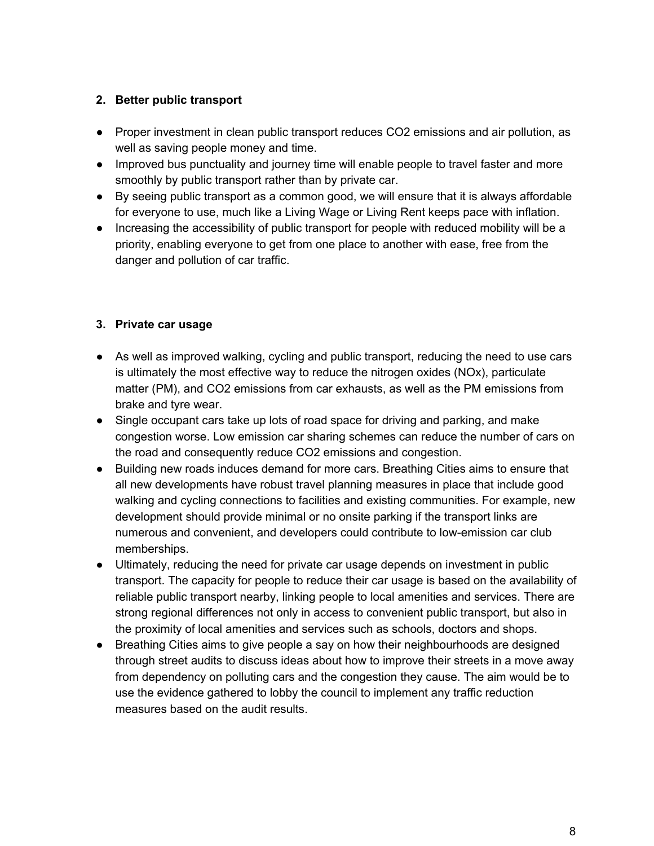#### **2. Better public transport**

- Proper investment in clean public transport reduces CO2 emissions and air pollution, as well as saving people money and time.
- Improved bus punctuality and journey time will enable people to travel faster and more smoothly by public transport rather than by private car.
- By seeing public transport as a common good, we will ensure that it is always affordable for everyone to use, much like a Living Wage or Living Rent keeps pace with inflation.
- Increasing the accessibility of public transport for people with reduced mobility will be a priority, enabling everyone to get from one place to another with ease, free from the danger and pollution of car traffic.

#### **3. Private car usage**

- As well as improved walking, cycling and public transport, reducing the need to use cars is ultimately the most effective way to reduce the nitrogen oxides (NOx), particulate matter (PM), and CO2 emissions from car exhausts, as well as the PM emissions from brake and tyre wear.
- Single occupant cars take up lots of road space for driving and parking, and make congestion worse. Low emission car sharing schemes can reduce the number of cars on the road and consequently reduce CO2 emissions and congestion.
- Building new roads induces demand for more cars. Breathing Cities aims to ensure that all new developments have robust travel planning measures in place that include good walking and cycling connections to facilities and existing communities. For example, new development should provide minimal or no onsite parking if the transport links are numerous and convenient, and developers could contribute to low-emission car club memberships.
- Ultimately, reducing the need for private car usage depends on investment in public transport. The capacity for people to reduce their car usage is based on the availability of reliable public transport nearby, linking people to local amenities and services. There are strong regional differences not only in access to convenient public transport, but also in the proximity of local amenities and services such as schools, doctors and shops.
- Breathing Cities aims to give people a say on how their neighbourhoods are designed through street audits to discuss ideas about how to improve their streets in a move away from dependency on polluting cars and the congestion they cause. The aim would be to use the evidence gathered to lobby the council to implement any traffic reduction measures based on the audit results.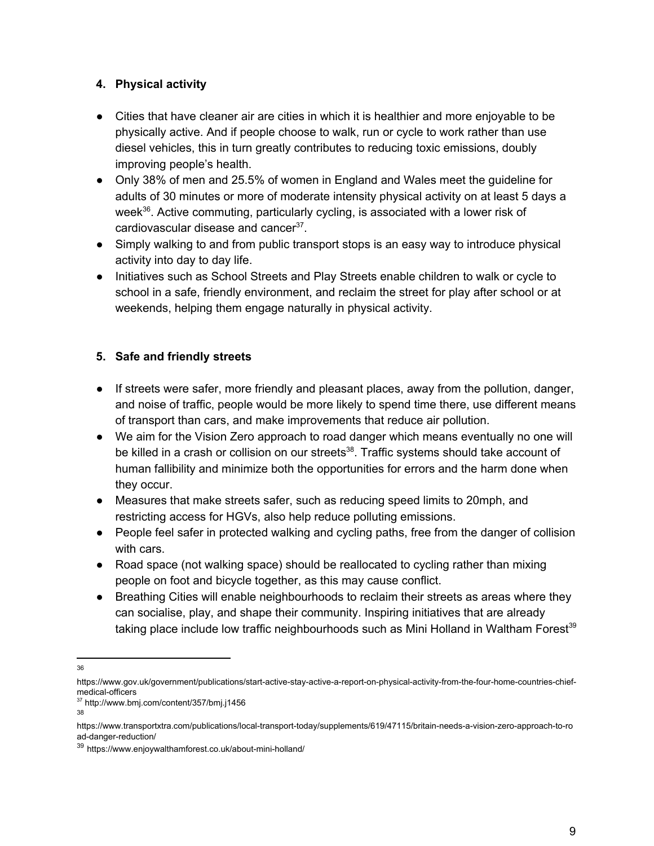#### **4. Physical activity**

- Cities that have cleaner air are cities in which it is healthier and more enjoyable to be physically active. And if people choose to walk, run or cycle to work rather than use diesel vehicles, this in turn greatly contributes to reducing toxic emissions, doubly improving people's health.
- Only 38% of men and 25.5% of women in England and Wales meet the guideline for adults of 30 minutes or more of moderate intensity physical activity on at least 5 days a week $^{36}$ . Active commuting, particularly cycling, is associated with a lower risk of cardiovascular disease and cancer<sup>37</sup>.
- Simply walking to and from public transport stops is an easy way to introduce physical activity into day to day life.
- Initiatives such as School Streets and Play Streets enable children to walk or cycle to school in a safe, friendly environment, and reclaim the street for play after school or at weekends, helping them engage naturally in physical activity.

#### **5. Safe and friendly streets**

- If streets were safer, more friendly and pleasant places, away from the pollution, danger, and noise of traffic, people would be more likely to spend time there, use different means of transport than cars, and make improvements that reduce air pollution.
- We aim for the Vision Zero approach to road danger which means eventually no one will be killed in a crash or collision on our streets<sup>38</sup>. Traffic systems should take account of human fallibility and minimize both the opportunities for errors and the harm done when they occur.
- Measures that make streets safer, such as reducing speed limits to 20mph, and restricting access for HGVs, also help reduce polluting emissions.
- People feel safer in protected walking and cycling paths, free from the danger of collision with cars.
- Road space (not walking space) should be reallocated to cycling rather than mixing people on foot and bicycle together, as this may cause conflict.
- Breathing Cities will enable neighbourhoods to reclaim their streets as areas where they can socialise, play, and shape their community. Inspiring initiatives that are already taking place include low traffic neighbourhoods such as Mini Holland in Waltham Forest<sup>39</sup>

38

<sup>36</sup>

https://www.gov.uk/government/publications/start-active-stay-active-a-report-on-physical-activity-from-the-four-home-countries-chiefmedical-officers

<sup>37</sup> http://www.bmj.com/content/357/bmj.j1456

https://www.transportxtra.com/publications/local-transport-today/supplements/619/47115/britain-needs-a-vision-zero-approach-to-ro ad-danger-reduction/

<sup>39</sup> https://www.enjoywalthamforest.co.uk/about-mini-holland/